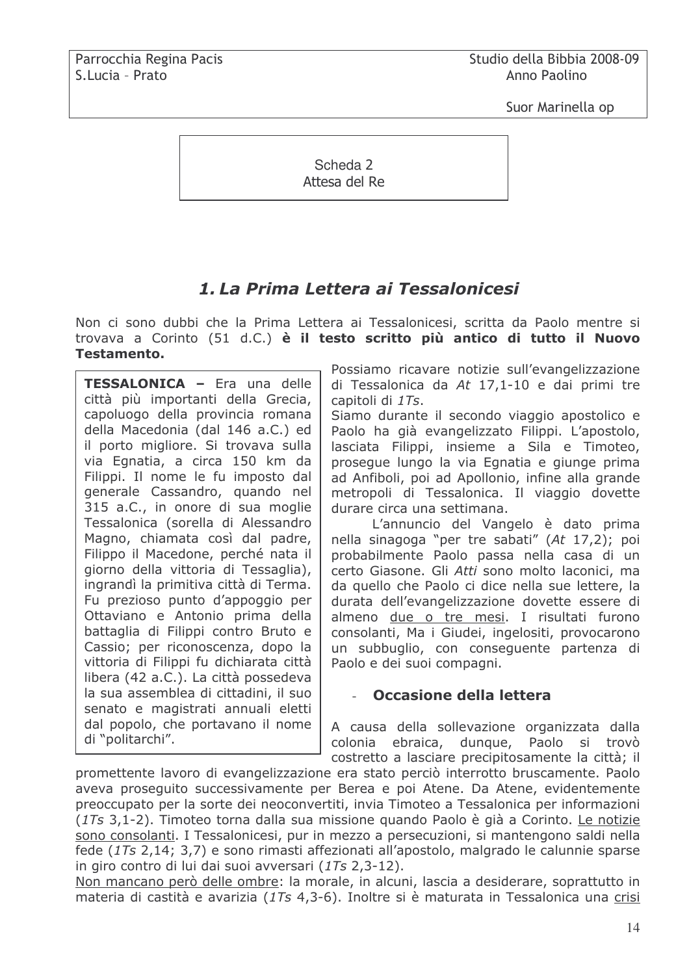Suor Marinella op

Scheda 2 Attesa del Re

# 1. La Prima Lettera ai Tessalonicesi

Non ci sono dubbi che la Prima Lettera ai Tessalonicesi, scritta da Paolo mentre si trovava a Corinto (51 d.C.) è il testo scritto più antico di tutto il Nuovo **Testamento.** 

TESSALONICA - Era una delle città più importanti della Grecia, capoluogo della provincia romana della Macedonia (dal 146 a.C.) ed il porto migliore. Si trovava sulla via Egnatia, a circa 150 km da Filippi. Il nome le fu imposto dal generale Cassandro, guando nel 315 a.C., in onore di sua moglie Tessalonica (sorella di Alessandro Magno, chiamata così dal padre, Filippo il Macedone, perché nata il giorno della vittoria di Tessaglia), ingrandì la primitiva città di Terma. Fu prezioso punto d'appoggio per Ottaviano e Antonio prima della battaglia di Filippi contro Bruto e Cassio; per riconoscenza, dopo la vittoria di Filippi fu dichiarata città libera (42 a.C.). La città possedeva la sua assemblea di cittadini, il suo senato e magistrati annuali eletti dal popolo, che portavano il nome di "politarchi".

Possiamo ricavare notizie sull'evangelizzazione di Tessalonica da At 17,1-10 e dai primi tre capitoli di 1Ts.

Siamo durante il secondo viaggio apostolico e Paolo ha già evangelizzato Filippi. L'apostolo, lasciata Filippi, insieme a Sila e Timoteo, proseque lungo la via Egnatia e giunge prima ad Anfiboli, poi ad Apollonio, infine alla grande metropoli di Tessalonica. Il viaggio dovette durare circa una settimana.

L'annuncio del Vangelo è dato prima nella sinagoga "per tre sabati" (At 17,2); poi probabilmente Paolo passa nella casa di un certo Giasone. Gli Atti sono molto laconici, ma da quello che Paolo ci dice nella sue lettere, la durata dell'evangelizzazione dovette essere di almeno due o tre mesi. I risultati furono consolanti, Ma i Giudei, ingelositi, provocarono un subbuglio, con consequente partenza di Paolo e dei suoi compagni.

## Occasione della lettera

A causa della sollevazione organizzata dalla colonia ebraica, dungue, Paolo si trovò costretto a lasciare precipitosamente la città; il

promettente lavoro di evangelizzazione era stato perciò interrotto bruscamente. Paolo aveva proseguito successivamente per Berea e poi Atene. Da Atene, evidentemente preoccupato per la sorte dei neoconvertiti, invia Timoteo a Tessalonica per informazioni (1Ts 3,1-2). Timoteo torna dalla sua missione quando Paolo è già a Corinto. Le notizie sono consolanti. I Tessalonicesi, pur in mezzo a persecuzioni, si mantengono saldi nella fede (1Ts 2,14; 3,7) e sono rimasti affezionati all'apostolo, malgrado le calunnie sparse in giro contro di lui dai suoi avversari (1Ts 2,3-12).

Non mancano però delle ombre: la morale, in alcuni, lascia a desiderare, soprattutto in materia di castità e avarizia (17s 4,3-6). Inoltre si è maturata in Tessalonica una crisi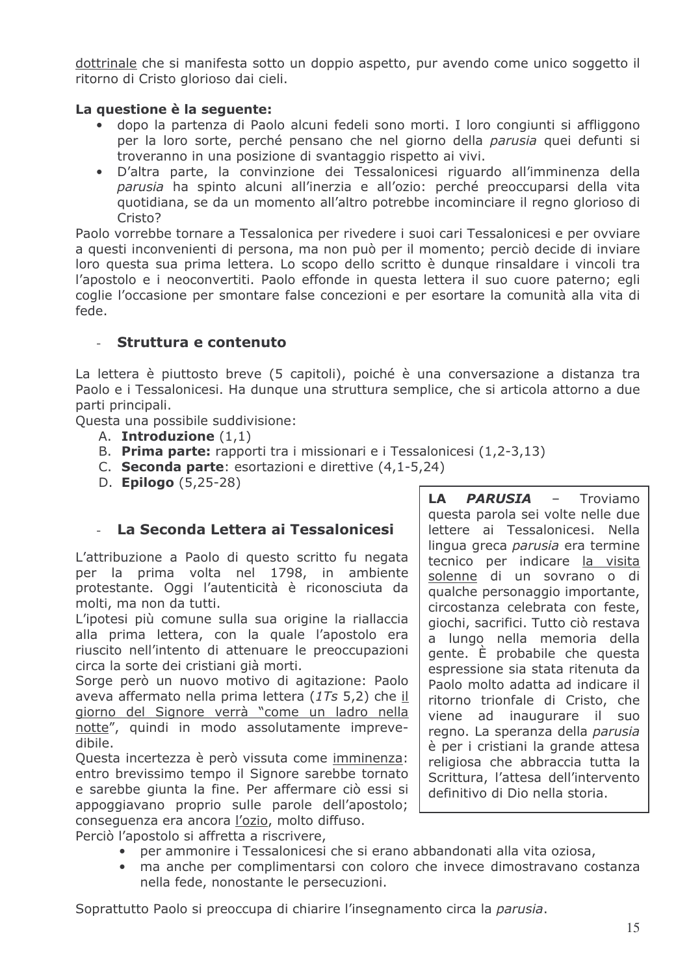dottrinale che si manifesta sotto un doppio aspetto, pur avendo come unico soggetto il ritorno di Cristo glorioso dai cieli.

#### La questione è la sequente:

- dopo la partenza di Paolo alcuni fedeli sono morti. I loro congiunti si affliggono per la loro sorte, perché pensano che nel giorno della parusia quei defunti si troveranno in una posizione di svantaggio rispetto ai vivi.
- D'altra parte, la convinzione dei Tessalonicesi riguardo all'imminenza della  $\bullet$ parusia ha spinto alcuni all'inerzia e all'ozio: perché preoccuparsi della vita quotidiana, se da un momento all'altro potrebbe incominciare il regno glorioso di Cristo?

Paolo vorrebbe tornare a Tessalonica per rivedere i suoi cari Tessalonicesi e per ovviare a questi inconvenienti di persona, ma non può per il momento; perciò decide di inviare loro questa sua prima lettera. Lo scopo dello scritto è dunque rinsaldare i vincoli tra l'apostolo e i neoconvertiti. Paolo effonde in questa lettera il suo cuore paterno; egli coglie l'occasione per smontare false concezioni e per esortare la comunità alla vita di fede.

## Struttura e contenuto

La lettera è piuttosto breve (5 capitoli), poiché è una conversazione a distanza tra Paolo e i Tessalonicesi. Ha dunque una struttura semplice, che si articola attorno a due parti principali.

Questa una possibile suddivisione:

- A. Introduzione  $(1,1)$
- B. Prima parte: rapporti tra i missionari e i Tessalonicesi (1,2-3,13)
- C. Seconda parte: esortazioni e direttive (4.1-5.24)
- D. **Epilogo** (5,25-28)

## La Seconda Lettera ai Tessalonicesi

L'attribuzione a Paolo di questo scritto fu negata per la prima volta nel 1798, in ambiente protestante. Oggi l'autenticità è riconosciuta da molti, ma non da tutti.

L'ipotesi più comune sulla sua origine la riallaccia alla prima lettera, con la quale l'apostolo era riuscito nell'intento di attenuare le preoccupazioni circa la sorte dei cristiani già morti.

Sorge però un nuovo motivo di agitazione: Paolo aveva affermato nella prima lettera (1Ts 5,2) che il giorno del Signore verrà "come un ladro nella notte", quindi in modo assolutamente imprevedibile.

Questa incertezza è però vissuta come imminenza: entro brevissimo tempo il Signore sarebbe tornato e sarebbe giunta la fine. Per affermare ciò essi si appoggiavano proprio sulle parole dell'apostolo; consequenza era ancora l'ozio, molto diffuso.

Perciò l'apostolo si affretta a riscrivere,

- per ammonire i Tessalonicesi che si erano abbandonati alla vita oziosa,
- · ma anche per complimentarsi con coloro che invece dimostravano costanza nella fede, nonostante le persecuzioni.

Soprattutto Paolo si preoccupa di chiarire l'insegnamento circa la parusia.

questa parola sei volte nelle due lettere ai Tessalonicesi. Nella lingua greca parusia era termine tecnico per indicare la visita solenne di un sovrano o di qualche personaggio importante, circostanza celebrata con feste, giochi, sacrifici. Tutto ciò restava a lungo nella memoria della gente. È probabile che questa espressione sia stata ritenuta da Paolo molto adatta ad indicare il ritorno trionfale di Cristo, che viene ad inaugurare il suo regno. La speranza della parusia è per i cristiani la grande attesa religiosa che abbraccia tutta la Scrittura, l'attesa dell'intervento definitivo di Dio nella storia.

 $\sim$   $-$ 

Troviamo

**PARUSIA** 

LA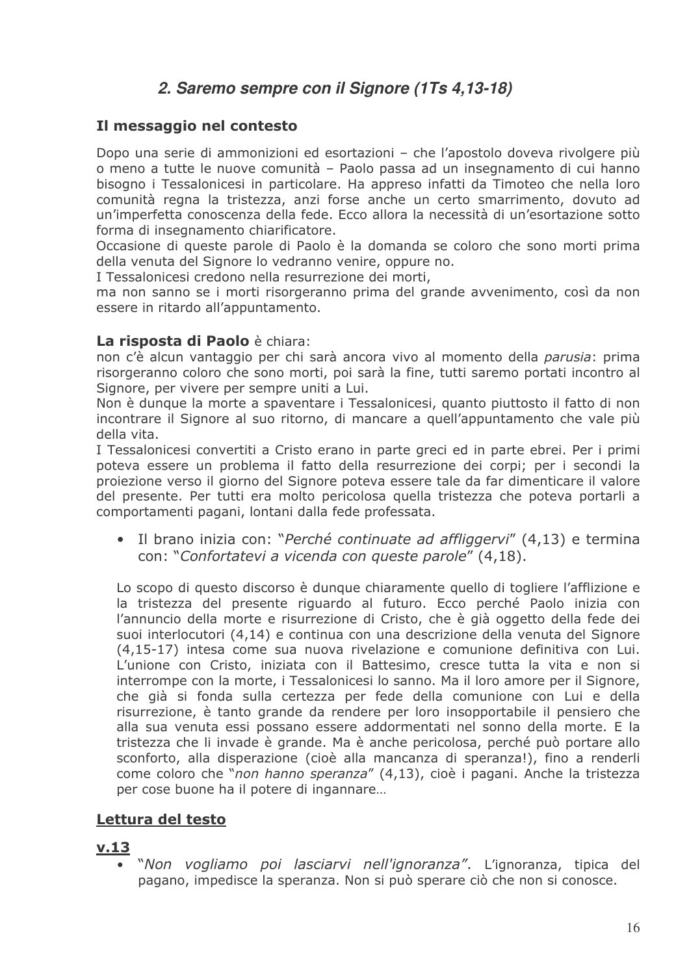# 2. Saremo sempre con il Signore (1Ts 4,13-18)

## Il messaggio nel contesto

Dopo una serie di ammonizioni ed esortazioni – che l'apostolo doveva rivolgere più o meno a tutte le nuove comunità - Paolo passa ad un insegnamento di cui hanno bisogno i Tessalonicesi in particolare. Ha appreso infatti da Timoteo che nella loro comunità regna la tristezza, anzi forse anche un certo smarrimento, dovuto ad un'imperfetta conoscenza della fede. Ecco allora la necessità di un'esortazione sotto forma di insegnamento chiarificatore.

Occasione di queste parole di Paolo è la domanda se coloro che sono morti prima della venuta del Signore lo vedranno venire, oppure no.

I Tessalonicesi credono nella resurrezione dei morti,

ma non sanno se i morti risorgeranno prima del grande avvenimento, così da non essere in ritardo all'appuntamento.

#### La risposta di Paolo è chiara:

non c'è alcun vantaggio per chi sarà ancora vivo al momento della *parusia*: prima risorgeranno coloro che sono morti, poi sarà la fine, tutti saremo portati incontro al Signore, per vivere per sempre uniti a Lui.

Non è dungue la morte a spaventare i Tessalonicesi, quanto piuttosto il fatto di non incontrare il Signore al suo ritorno, di mancare a quell'appuntamento che vale più della vita.

I Tessalonicesi convertiti a Cristo erano in parte greci ed in parte ebrei. Per i primi poteva essere un problema il fatto della resurrezione dei corpi; per i secondi la projezione verso il giorno del Signore poteva essere tale da far dimenticare il valore del presente. Per tutti era molto pericolosa quella tristezza che poteva portarli a comportamenti pagani, lontani dalla fede professata.

• Il brano inizia con: "Perché continuate ad affliggervi" (4,13) e termina con: "Confortatevi a vicenda con queste parole" (4,18).

Lo scopo di questo discorso è dunque chiaramente quello di togliere l'afflizione e la tristezza del presente riguardo al futuro. Ecco perché Paolo inizia con l'annuncio della morte e risurrezione di Cristo, che è già oggetto della fede dei suoi interlocutori (4,14) e continua con una descrizione della venuta del Signore (4,15-17) intesa come sua nuova rivelazione e comunione definitiva con Lui. L'unione con Cristo, iniziata con il Battesimo, cresce tutta la vita e non si interrompe con la morte, i Tessalonicesi lo sanno. Ma il loro amore per il Signore, che già si fonda sulla certezza per fede della comunione con Lui e della risurrezione, è tanto grande da rendere per loro insopportabile il pensiero che alla sua venuta essi possano essere addormentati nel sonno della morte. E la tristezza che li invade è grande. Ma è anche pericolosa, perché può portare allo sconforto, alla disperazione (cioè alla mancanza di speranza!), fino a renderli come coloro che "non hanno speranza" (4,13), cioè i pagani. Anche la tristezza per cose buone ha il potere di ingannare...

# Lettura del testo

## $v.13$

"Non vogliamo poi lasciarvi nell'ignoranza". L'ignoranza, tipica del pagano, impedisce la speranza. Non si può sperare ciò che non si conosce.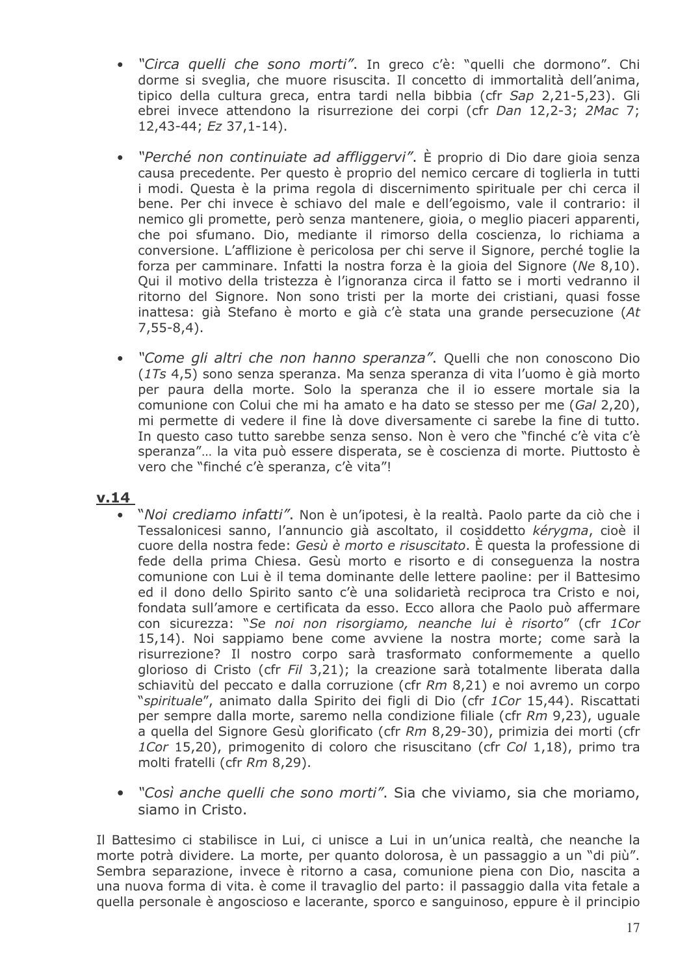- · "Circa quelli che sono morti". In greco c'è: "quelli che dormono". Chi dorme si sveglia, che muore risuscita. Il concetto di immortalità dell'anima, tipico della cultura greca, entra tardi nella bibbia (cfr Sap 2,21-5,23). Gli ebrei invece attendono la risurrezione dei corpi (cfr Dan 12,2-3; 2Mac 7;  $12,43-44$ ; Ez 37,1-14).
- "Perché non continuiate ad affliggervi". È proprio di Dio dare gioia senza  $\bullet$ causa precedente. Per questo è proprio del nemico cercare di toglierla in tutti i modi. Questa è la prima regola di discernimento spirituale per chi cerca il bene. Per chi invece è schiavo del male e dell'egoismo, vale il contrario: il nemico gli promette, però senza mantenere, gioia, o meglio piaceri apparenti, che poi sfumano. Dio, mediante il rimorso della coscienza, lo richiama a conversione. L'afflizione è pericolosa per chi serve il Signore, perché toglie la forza per camminare. Infatti la nostra forza è la gioia del Signore (Ne 8,10). Qui il motivo della tristezza è l'ignoranza circa il fatto se i morti vedranno il ritorno del Signore. Non sono tristi per la morte dei cristiani, quasi fosse inattesa: già Stefano è morto e già c'è stata una grande persecuzione (At  $7,55-8,4$ ).
- "Come gli altri che non hanno speranza". Quelli che non conoscono Dio  $\bullet$ (1Ts 4.5) sono senza speranza. Ma senza speranza di vita l'uomo è già morto per paura della morte. Solo la speranza che il io essere mortale sia la comunione con Colui che mi ha amato e ha dato se stesso per me (Gal 2,20), mi permette di vedere il fine là dove diversamente ci sarebe la fine di tutto. In questo caso tutto sarebbe senza senso. Non è vero che "finché c'è vita c'è speranza"... la vita può essere disperata, se è coscienza di morte. Piuttosto è vero che "finché c'è speranza, c'è vita"!

## $v.14$

- "Noi crediamo infatti". Non è un'ipotesi, è la realtà. Paolo parte da ciò che i Tessalonicesi sanno, l'annuncio già ascoltato, il cosiddetto kérvama, cioè il cuore della nostra fede: Gesù è morto e risuscitato. È questa la professione di fede della prima Chiesa. Gesù morto e risorto e di conseguenza la nostra comunione con Lui è il tema dominante delle lettere paoline: per il Battesimo ed il dono dello Spirito santo c'è una solidarietà reciproca tra Cristo e noi, fondata sull'amore e certificata da esso. Ecco allora che Paolo può affermare con sicurezza: "Se noi non risorgiamo, neanche lui è risorto" (cfr 1Cor 15,14). Noi sappiamo bene come avviene la nostra morte; come sarà la risurrezione? Il nostro corpo sarà trasformato conformemente a quello glorioso di Cristo (cfr Fil 3,21); la creazione sarà totalmente liberata dalla schiavitù del peccato e dalla corruzione (cfr Rm 8,21) e noi avremo un corpo "spirituale", animato dalla Spirito dei figli di Dio (cfr 1Cor 15,44). Riscattati per sempre dalla morte, saremo nella condizione filiale (cfr Rm 9,23), uguale a quella del Signore Gesù glorificato (cfr Rm 8,29-30), primizia dei morti (cfr 1Cor 15,20), primogenito di coloro che risuscitano (cfr Col 1,18), primo tra molti fratelli (cfr Rm 8,29).
- "Così anche quelli che sono morti". Sia che viviamo, sia che moriamo, siamo in Cristo.

Il Battesimo ci stabilisce in Lui, ci unisce a Lui in un'unica realtà, che neanche la morte potrà dividere. La morte, per quanto dolorosa, è un passaggio a un "di più". Sembra separazione, invece è ritorno a casa, comunione piena con Dio, nascita a una nuova forma di vita. è come il travaglio del parto: il passaggio dalla vita fetale a quella personale è angoscioso e lacerante, sporco e sanguinoso, eppure è il principio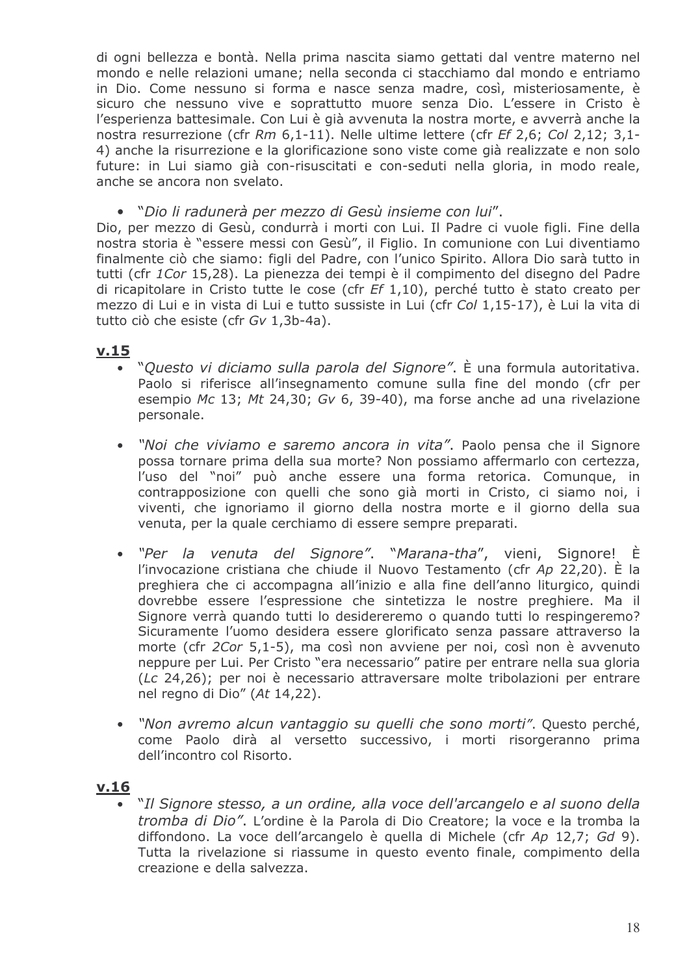di ogni bellezza e bontà. Nella prima nascita siamo gettati dal ventre materno nel mondo e nelle relazioni umane: nella seconda ci stacchiamo dal mondo e entriamo in Dio. Come nessuno si forma e nasce senza madre, così, misteriosamente, è sicuro che nessuno vive e soprattutto muore senza Dio. L'essere in Cristo è l'esperienza battesimale. Con Lui è già avvenuta la nostra morte, e avverrà anche la nostra resurrezione (cfr Rm 6.1-11). Nelle ultime lettere (cfr Ef 2.6; Col 2.12; 3.1-4) anche la risurrezione e la glorificazione sono viste come già realizzate e non solo future: in Lui siamo già con-risuscitati e con-seduti nella gloria, in modo reale, anche se ancora non svelato.

• "Dio li radunerà per mezzo di Gesù insieme con lui".

Dio, per mezzo di Gesù, condurrà i morti con Lui. Il Padre ci vuole figli. Fine della nostra storia è "essere messi con Gesù", il Figlio. In comunione con Lui diventiamo finalmente ciò che siamo: figli del Padre, con l'unico Spirito. Allora Dio sarà tutto in tutti (cfr 1Cor 15,28). La pienezza dei tempi è il compimento del disegno del Padre di ricapitolare in Cristo tutte le cose (cfr  $Ef(1,10)$ , perché tutto è stato creato per mezzo di Lui e in vista di Lui e tutto sussiste in Lui (cfr Col 1,15-17), è Lui la vita di tutto ciò che esiste (cfr Gv 1,3b-4a).

## $v.15$

- "Questo vi diciamo sulla parola del Signore". È una formula autoritativa. Paolo si riferisce all'insegnamento comune sulla fine del mondo (cfr per esempio Mc 13; Mt 24.30; Gv 6, 39-40), ma forse anche ad una rivelazione personale.
- "Noi che viviamo e saremo ancora in vita". Paolo pensa che il Signore  $\bullet$ possa tornare prima della sua morte? Non possiamo affermarlo con certezza, l'uso del "noi" può anche essere una forma retorica. Comunque, in contrapposizione con quelli che sono già morti in Cristo, ci siamo noi, i viventi, che ignoriamo il giorno della nostra morte e il giorno della sua venuta, per la quale cerchiamo di essere sempre preparati.
- "Per la venuta del Signore", "Marana-tha", vieni, Signore! È  $\bullet$ l'invocazione cristiana che chiude il Nuovo Testamento (cfr Ap 22.20). È la preghiera che ci accompagna all'inizio e alla fine dell'anno liturgico, quindi dovrebbe essere l'espressione che sintetizza le nostre preghiere. Ma il Signore verrà quando tutti lo desidereremo o quando tutti lo respingeremo? Sicuramente l'uomo desidera essere glorificato senza passare attraverso la morte (cfr 2Cor 5,1-5), ma così non avviene per noi, così non è avvenuto neppure per Lui. Per Cristo "era necessario" patire per entrare nella sua gloria (Lc 24.26); per noi è necessario attraversare molte tribolazioni per entrare nel regno di Dio" (At 14,22).
- "Non avremo alcun vantaggio su quelli che sono morti". Questo perché, come Paolo dirà al versetto successivo, i morti risorgeranno prima dell'incontro col Risorto.

## <u>v.16</u>

"Il Signore stesso, a un ordine, alla voce dell'arcangelo e al suono della tromba di Dio". L'ordine è la Parola di Dio Creatore; la voce e la tromba la diffondono. La voce dell'arcangelo è quella di Michele (cfr Ap 12.7; Gd 9). Tutta la rivelazione si riassume in questo evento finale, compimento della creazione e della salvezza.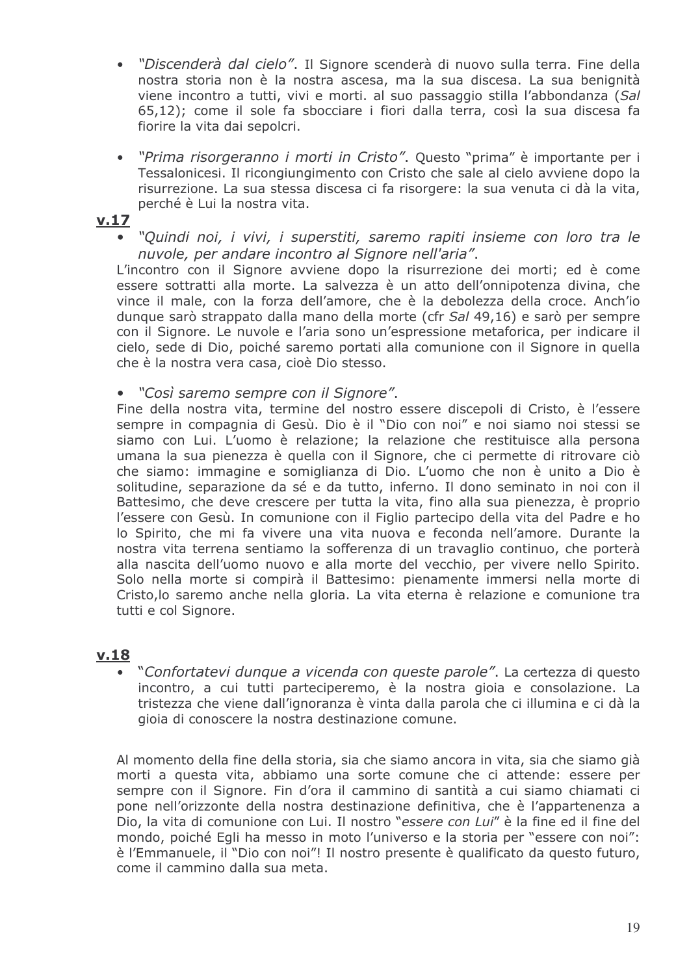- "Discenderà dal cielo". Il Signore scenderà di nuovo sulla terra. Fine della nostra storia non è la nostra ascesa, ma la sua discesa. La sua benignità viene incontro a tutti, vivi e morti, al suo passaggio stilla l'abbondanza (Sal 65,12); come il sole fa sbocciare i fiori dalla terra, così la sua discesa fa fiorire la vita dai sepolcri.
- "Prima risorgeranno i morti in Cristo". Questo "prima" è importante per i  $\bullet$ Tessalonicesi. Il ricongiungimento con Cristo che sale al cielo avviene dopo la risurrezione. La sua stessa discesa ci fa risorgere: la sua venuta ci dà la vita, perché è Lui la nostra vita.

### $V.17$

· "Quindi noi, i vivi, i superstiti, saremo rapiti insieme con loro tra le nuvole, per andare incontro al Signore nell'aria".

L'incontro con il Signore avviene dopo la risurrezione dei morti; ed è come essere sottratti alla morte. La salvezza è un atto dell'onnipotenza divina, che vince il male, con la forza dell'amore, che è la debolezza della croce. Anch'io dunque sarò strappato dalla mano della morte (cfr Sal 49,16) e sarò per sempre con il Signore. Le nuvole e l'aria sono un'espressione metaforica, per indicare il cielo, sede di Dio, poiché saremo portati alla comunione con il Signore in quella che è la nostra vera casa, cioè Dio stesso.

• "Così saremo sempre con il Signore".

Fine della nostra vita, termine del nostro essere discepoli di Cristo, è l'essere sempre in compagnia di Gesù. Dio è il "Dio con noi" e noi siamo noi stessi se siamo con Lui. L'uomo è relazione; la relazione che restituisce alla persona umana la sua pienezza è quella con il Signore, che ci permette di ritrovare ciò che siamo: immagine e somiglianza di Dio. L'uomo che non è unito a Dio è solitudine, separazione da sé e da tutto, inferno. Il dono seminato in noi con il Battesimo, che deve crescere per tutta la vita, fino alla sua pienezza, è proprio l'essere con Gesù. In comunione con il Figlio partecipo della vita del Padre e ho lo Spirito, che mi fa vivere una vita nuova e feconda nell'amore. Durante la nostra vita terrena sentiamo la sofferenza di un travaglio continuo, che porterà alla nascita dell'uomo nuovo e alla morte del vecchio, per vivere nello Spirito. Solo nella morte si compirà il Battesimo: pienamente immersi nella morte di Cristo, lo saremo anche nella gloria. La vita eterna è relazione e comunione tra tutti e col Signore.

## $v.18$

"Confortatevi dunque a vicenda con queste parole". La certezza di questo incontro, a cui tutti parteciperemo, è la nostra gioia e consolazione. La tristezza che viene dall'ignoranza è vinta dalla parola che ci illumina e ci dà la gioia di conoscere la nostra destinazione comune.

Al momento della fine della storia, sia che siamo ancora in vita, sia che siamo già morti a questa vita, abbiamo una sorte comune che ci attende: essere per sempre con il Signore. Fin d'ora il cammino di santità a cui siamo chiamati ci pone nell'orizzonte della nostra destinazione definitiva, che è l'appartenenza a Dio, la vita di comunione con Lui. Il nostro "essere con Lui" è la fine ed il fine del mondo, poiché Egli ha messo in moto l'universo e la storia per "essere con noi": è l'Emmanuele, il "Dio con noi"! Il nostro presente è qualificato da questo futuro, come il cammino dalla sua meta.